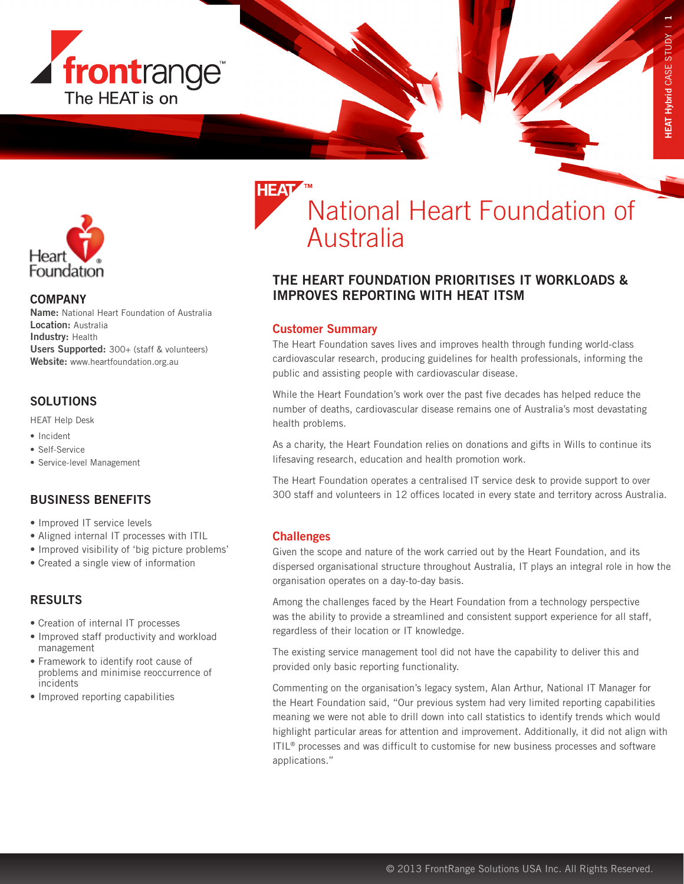



### **COMPANY**

Name: National Heart Foundation of Australia Location: Australia Industry: Health Users Supported: 300+ (staff & volunteers) Website: www.heartfoundation.org.au

## **SOLUTIONS**

HEAT Help Desk

- Incident
- Self-Service
- Service-level Management

## BUSINESS BENEFITS

- Improved IT service levels
- Aligned internal IT processes with ITIL
- Improved visibility of 'big picture problems'
- Created a single view of information

## RESULTS

- Creation of internal IT processes
- Improved staff productivity and workload management
- Framework to identify root cause of problems and minimise reoccurrence of incidents
- Improved reporting capabilities

## National Heart Foundation of Australia

## THE HEART FOUNDATION PRIORITISES IT WORKLOADS & IMPROVES REPORTING WITH HEAT ITSM

### Customer Summary

The Heart Foundation saves lives and improves health through funding world-class cardiovascular research, producing guidelines for health professionals, informing the public and assisting people with cardiovascular disease.

While the Heart Foundation's work over the past five decades has helped reduce the number of deaths, cardiovascular disease remains one of Australia's most devastating health problems.

As a charity, the Heart Foundation relies on donations and gifts in Wills to continue its lifesaving research, education and health promotion work.

The Heart Foundation operates a centralised IT service desk to provide support to over 300 staff and volunteers in 12 offices located in every state and territory across Australia.

### **Challenges**

Given the scope and nature of the work carried out by the Heart Foundation, and its dispersed organisational structure throughout Australia, IT plays an integral role in how the organisation operates on a day-to-day basis.

Among the challenges faced by the Heart Foundation from a technology perspective was the ability to provide a streamlined and consistent support experience for all staff, regardless of their location or IT knowledge.

The existing service management tool did not have the capability to deliver this and provided only basic reporting functionality.

Commenting on the organisation's legacy system, Alan Arthur, National IT Manager for the Heart Foundation said, "Our previous system had very limited reporting capabilities meaning we were not able to drill down into call statistics to identify trends which would highlight particular areas for attention and improvement. Additionally, it did not align with  $ITL<sup>®</sup>$  processes and was difficult to customise for new business processes and software applications."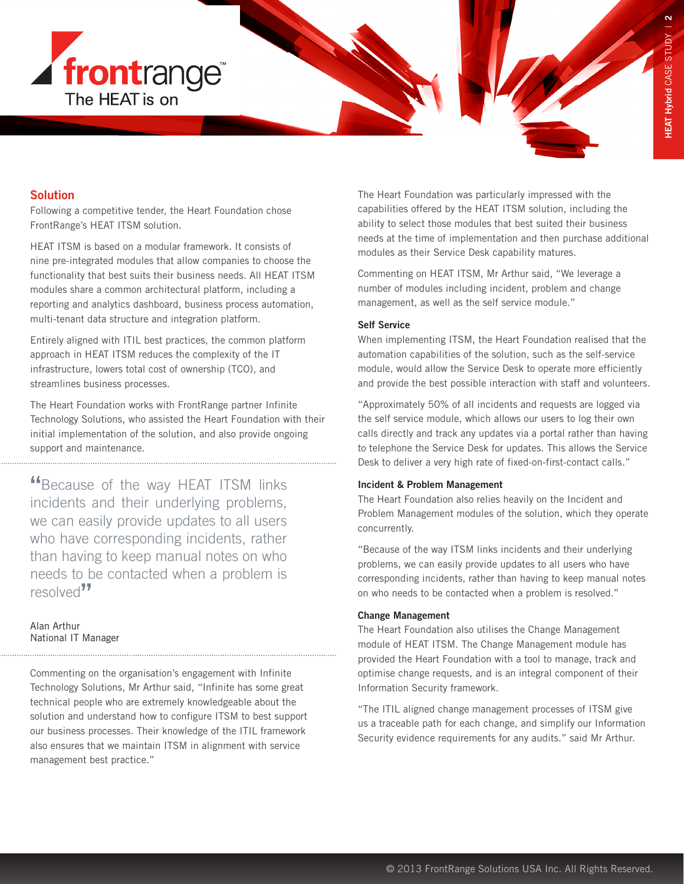

# **Solution**

Following a competitive tender, the Heart Foundation chose FrontRange's HEAT ITSM solution.

HEAT ITSM is based on a modular framework. It consists of nine pre-integrated modules that allow companies to choose the functionality that best suits their business needs. All HEAT ITSM modules share a common architectural platform, including a reporting and analytics dashboard, business process automation, multi-tenant data structure and integration platform.

Entirely aligned with ITIL best practices, the common platform approach in HEAT ITSM reduces the complexity of the IT infrastructure, lowers total cost of ownership (TCO), and streamlines business processes.

The Heart Foundation works with FrontRange partner Infinite Technology Solutions, who assisted the Heart Foundation with their initial implementation of the solution, and also provide ongoing support and maintenance.

"Because of the way HEAT ITSM links incidents and their underlying problems, we can easily provide updates to all users who have corresponding incidents, rather than having to keep manual notes on who needs to be contacted when a problem is resolved<sup>77</sup>

Alan Arthur National IT Manager

Commenting on the organisation's engagement with Infinite Technology Solutions, Mr Arthur said, "Infinite has some great technical people who are extremely knowledgeable about the solution and understand how to configure ITSM to best support our business processes. Their knowledge of the ITIL framework also ensures that we maintain ITSM in alignment with service management best practice."

The Heart Foundation was particularly impressed with the capabilities offered by the HEAT ITSM solution, including the ability to select those modules that best suited their business needs at the time of implementation and then purchase additional modules as their Service Desk capability matures.

Commenting on HEAT ITSM, Mr Arthur said, "We leverage a number of modules including incident, problem and change management, as well as the self service module."

### Self Service

When implementing ITSM, the Heart Foundation realised that the automation capabilities of the solution, such as the self-service module, would allow the Service Desk to operate more efficiently and provide the best possible interaction with staff and volunteers.

"Approximately 50% of all incidents and requests are logged via the self service module, which allows our users to log their own calls directly and track any updates via a portal rather than having to telephone the Service Desk for updates. This allows the Service Desk to deliver a very high rate of fixed-on-first-contact calls."

### Incident & Problem Management

The Heart Foundation also relies heavily on the Incident and Problem Management modules of the solution, which they operate concurrently.

"Because of the way ITSM links incidents and their underlying problems, we can easily provide updates to all users who have corresponding incidents, rather than having to keep manual notes on who needs to be contacted when a problem is resolved."

### Change Management

The Heart Foundation also utilises the Change Management module of HEAT ITSM. The Change Management module has provided the Heart Foundation with a tool to manage, track and optimise change requests, and is an integral component of their Information Security framework.

"The ITIL aligned change management processes of ITSM give us a traceable path for each change, and simplify our Information Security evidence requirements for any audits." said Mr Arthur.